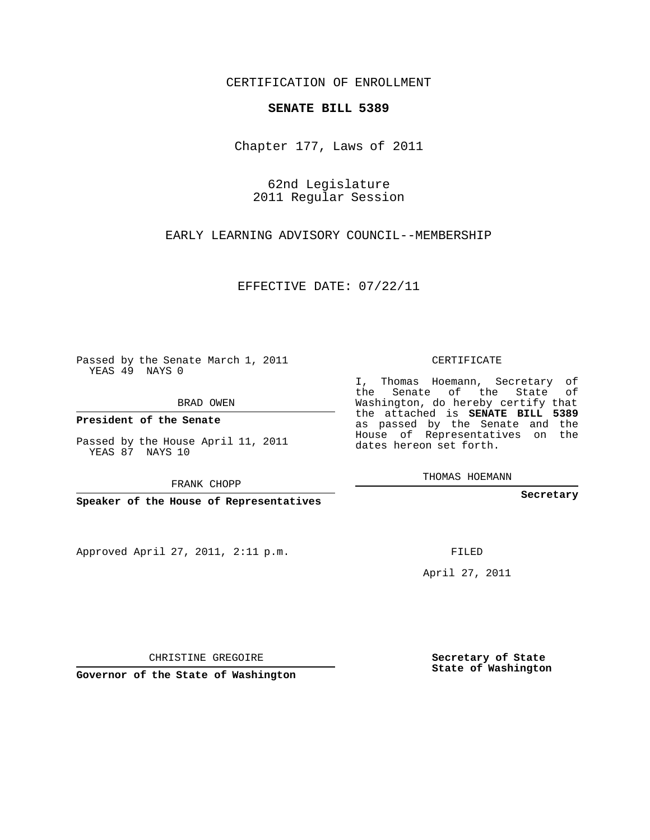## CERTIFICATION OF ENROLLMENT

## **SENATE BILL 5389**

Chapter 177, Laws of 2011

62nd Legislature 2011 Regular Session

EARLY LEARNING ADVISORY COUNCIL--MEMBERSHIP

EFFECTIVE DATE: 07/22/11

Passed by the Senate March 1, 2011 YEAS 49 NAYS 0

BRAD OWEN

**President of the Senate**

Passed by the House April 11, 2011 YEAS 87 NAYS 10

FRANK CHOPP

**Speaker of the House of Representatives**

Approved April 27, 2011, 2:11 p.m.

CERTIFICATE

I, Thomas Hoemann, Secretary of the Senate of the State of Washington, do hereby certify that the attached is **SENATE BILL 5389** as passed by the Senate and the House of Representatives on the dates hereon set forth.

THOMAS HOEMANN

**Secretary**

FILED

April 27, 2011

**Secretary of State State of Washington**

CHRISTINE GREGOIRE

**Governor of the State of Washington**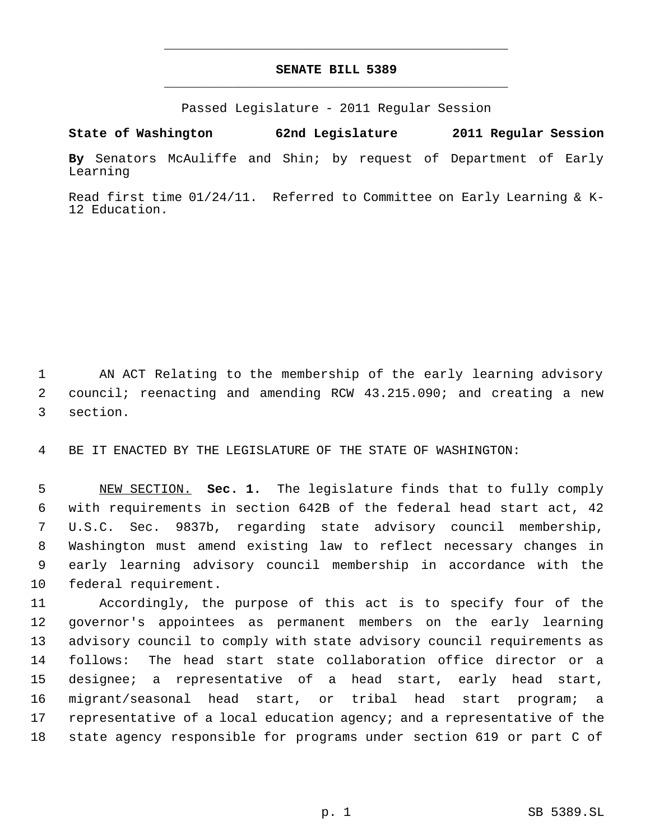## **SENATE BILL 5389** \_\_\_\_\_\_\_\_\_\_\_\_\_\_\_\_\_\_\_\_\_\_\_\_\_\_\_\_\_\_\_\_\_\_\_\_\_\_\_\_\_\_\_\_\_

\_\_\_\_\_\_\_\_\_\_\_\_\_\_\_\_\_\_\_\_\_\_\_\_\_\_\_\_\_\_\_\_\_\_\_\_\_\_\_\_\_\_\_\_\_

Passed Legislature - 2011 Regular Session

**State of Washington 62nd Legislature 2011 Regular Session**

**By** Senators McAuliffe and Shin; by request of Department of Early Learning

Read first time 01/24/11. Referred to Committee on Early Learning & K-12 Education.

 AN ACT Relating to the membership of the early learning advisory council; reenacting and amending RCW 43.215.090; and creating a new section.

BE IT ENACTED BY THE LEGISLATURE OF THE STATE OF WASHINGTON:

 NEW SECTION. **Sec. 1.** The legislature finds that to fully comply with requirements in section 642B of the federal head start act, 42 U.S.C. Sec. 9837b, regarding state advisory council membership, Washington must amend existing law to reflect necessary changes in early learning advisory council membership in accordance with the federal requirement.

 Accordingly, the purpose of this act is to specify four of the governor's appointees as permanent members on the early learning advisory council to comply with state advisory council requirements as follows: The head start state collaboration office director or a designee; a representative of a head start, early head start, migrant/seasonal head start, or tribal head start program; a representative of a local education agency; and a representative of the state agency responsible for programs under section 619 or part C of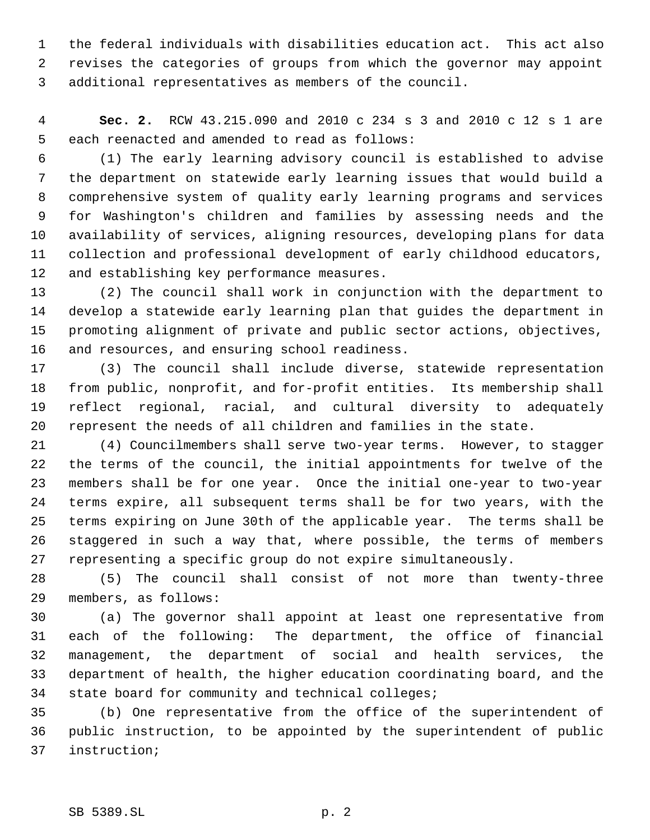the federal individuals with disabilities education act. This act also revises the categories of groups from which the governor may appoint additional representatives as members of the council.

 **Sec. 2.** RCW 43.215.090 and 2010 c 234 s 3 and 2010 c 12 s 1 are each reenacted and amended to read as follows:

 (1) The early learning advisory council is established to advise the department on statewide early learning issues that would build a comprehensive system of quality early learning programs and services for Washington's children and families by assessing needs and the availability of services, aligning resources, developing plans for data collection and professional development of early childhood educators, and establishing key performance measures.

 (2) The council shall work in conjunction with the department to develop a statewide early learning plan that guides the department in promoting alignment of private and public sector actions, objectives, and resources, and ensuring school readiness.

 (3) The council shall include diverse, statewide representation from public, nonprofit, and for-profit entities. Its membership shall reflect regional, racial, and cultural diversity to adequately represent the needs of all children and families in the state.

 (4) Councilmembers shall serve two-year terms. However, to stagger the terms of the council, the initial appointments for twelve of the members shall be for one year. Once the initial one-year to two-year terms expire, all subsequent terms shall be for two years, with the terms expiring on June 30th of the applicable year. The terms shall be staggered in such a way that, where possible, the terms of members representing a specific group do not expire simultaneously.

 (5) The council shall consist of not more than twenty-three members, as follows:

 (a) The governor shall appoint at least one representative from each of the following: The department, the office of financial management, the department of social and health services, the department of health, the higher education coordinating board, and the state board for community and technical colleges;

 (b) One representative from the office of the superintendent of public instruction, to be appointed by the superintendent of public instruction;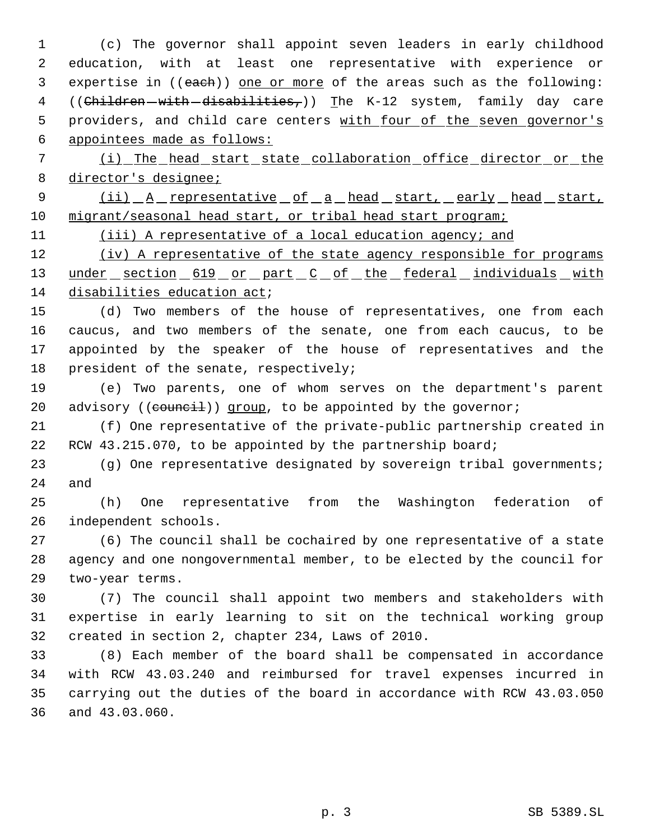(c) The governor shall appoint seven leaders in early childhood education, with at least one representative with experience or 3 expertise in ((each)) one or more of the areas such as the following: 4 ((Children-with-disabilities,)) The K-12 system, family day care 5 providers, and child care centers with four of the seven governor's appointees made as follows:

7 (i) The head start state collaboration office director or the 8 director's designee;

9 (ii) A representative of a head start, early head start, 10 migrant/seasonal head start, or tribal head start program;

11 (iii) A representative of a local education agency; and

12 (iv) A representative of the state agency responsible for programs 13 under section 619 or part C of the federal individuals with disabilities education act;

 (d) Two members of the house of representatives, one from each caucus, and two members of the senate, one from each caucus, to be appointed by the speaker of the house of representatives and the president of the senate, respectively;

 (e) Two parents, one of whom serves on the department's parent 20 advisory ((council)) group, to be appointed by the governor;

 (f) One representative of the private-public partnership created in 22 RCW 43.215.070, to be appointed by the partnership board;

 (g) One representative designated by sovereign tribal governments; and

 (h) One representative from the Washington federation of independent schools.

 (6) The council shall be cochaired by one representative of a state agency and one nongovernmental member, to be elected by the council for two-year terms.

 (7) The council shall appoint two members and stakeholders with expertise in early learning to sit on the technical working group created in section 2, chapter 234, Laws of 2010.

 (8) Each member of the board shall be compensated in accordance with RCW 43.03.240 and reimbursed for travel expenses incurred in carrying out the duties of the board in accordance with RCW 43.03.050 and 43.03.060.